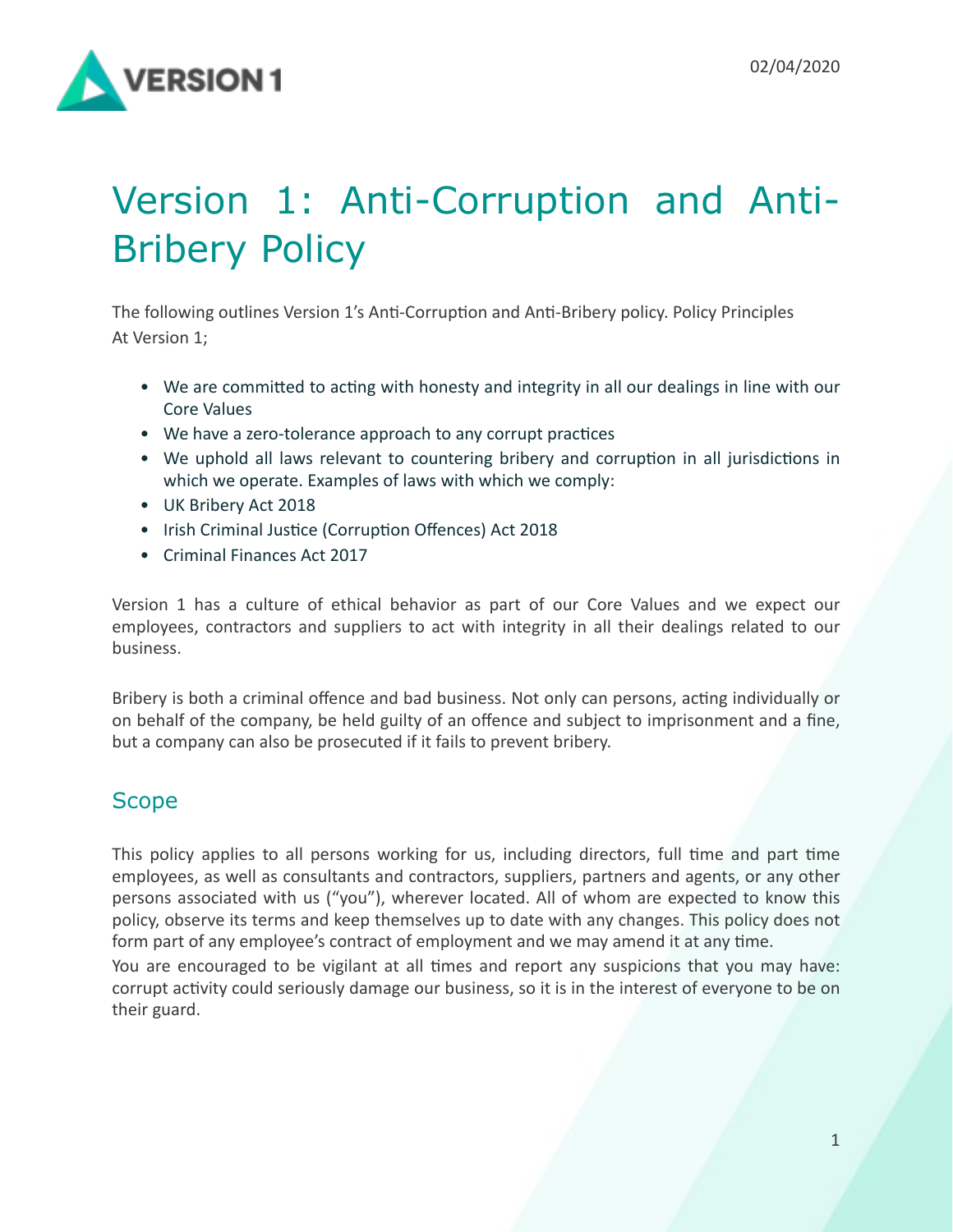

# Version 1: Anti-Corruption and Anti-Bribery Policy

The following outlines Version 1's Anti-Corruption and Anti-Bribery policy. Policy Principles At Version 1:

- We are committed to acting with honesty and integrity in all our dealings in line with our Core Values
- We have a zero-tolerance approach to any corrupt practices
- We uphold all laws relevant to countering bribery and corruption in all jurisdictions in which we operate. Examples of laws with which we comply:
- UK Bribery Act 2018
- Irish Criminal Justice (Corruption Offences) Act 2018
- Criminal Finances Act 2017

Version 1 has a culture of ethical behavior as part of our Core Values and we expect our employees, contractors and suppliers to act with integrity in all their dealings related to our business. 

Bribery is both a criminal offence and bad business. Not only can persons, acting individually or on behalf of the company, be held guilty of an offence and subject to imprisonment and a fine, but a company can also be prosecuted if it fails to prevent bribery.

# **Scope**

This policy applies to all persons working for us, including directors, full time and part time employees, as well as consultants and contractors, suppliers, partners and agents, or any other persons associated with us ("you"), wherever located. All of whom are expected to know this policy, observe its terms and keep themselves up to date with any changes. This policy does not form part of any employee's contract of employment and we may amend it at any time.

You are encouraged to be vigilant at all times and report any suspicions that you may have: corrupt activity could seriously damage our business, so it is in the interest of everyone to be on their guard.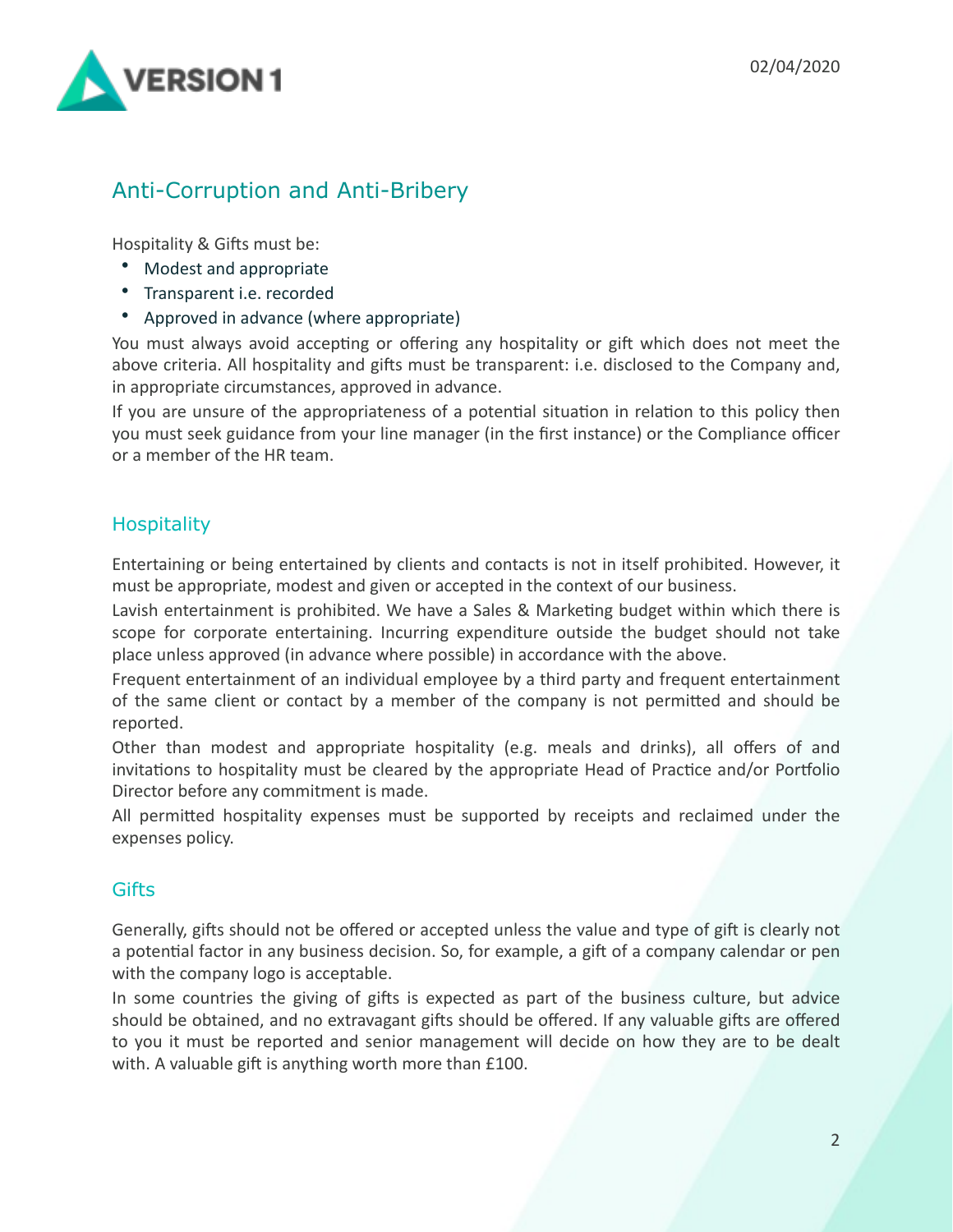

# Anti-Corruption and Anti-Bribery

Hospitality & Gifts must be:

- Modest and appropriate
- Transparent i.e. recorded
- Approved in advance (where appropriate)

You must always avoid accepting or offering any hospitality or gift which does not meet the above criteria. All hospitality and gifts must be transparent: i.e. disclosed to the Company and, in appropriate circumstances, approved in advance.

If you are unsure of the appropriateness of a potential situation in relation to this policy then you must seek guidance from your line manager (in the first instance) or the Compliance officer or a member of the HR team.

#### **Hospitality**

Entertaining or being entertained by clients and contacts is not in itself prohibited. However, it must be appropriate, modest and given or accepted in the context of our business.

Lavish entertainment is prohibited. We have a Sales & Marketing budget within which there is scope for corporate entertaining. Incurring expenditure outside the budget should not take place unless approved (in advance where possible) in accordance with the above.

Frequent entertainment of an individual employee by a third party and frequent entertainment of the same client or contact by a member of the company is not permitted and should be reported. 

Other than modest and appropriate hospitality (e.g. meals and drinks), all offers of and invitations to hospitality must be cleared by the appropriate Head of Practice and/or Portfolio Director before any commitment is made.

All permitted hospitality expenses must be supported by receipts and reclaimed under the expenses policy.

#### **Gifts**

Generally, gifts should not be offered or accepted unless the value and type of gift is clearly not a potential factor in any business decision. So, for example, a gift of a company calendar or pen with the company logo is acceptable.

In some countries the giving of gifts is expected as part of the business culture, but advice should be obtained, and no extravagant gifts should be offered. If any valuable gifts are offered to you it must be reported and senior management will decide on how they are to be dealt with. A valuable gift is anything worth more than  $£100$ .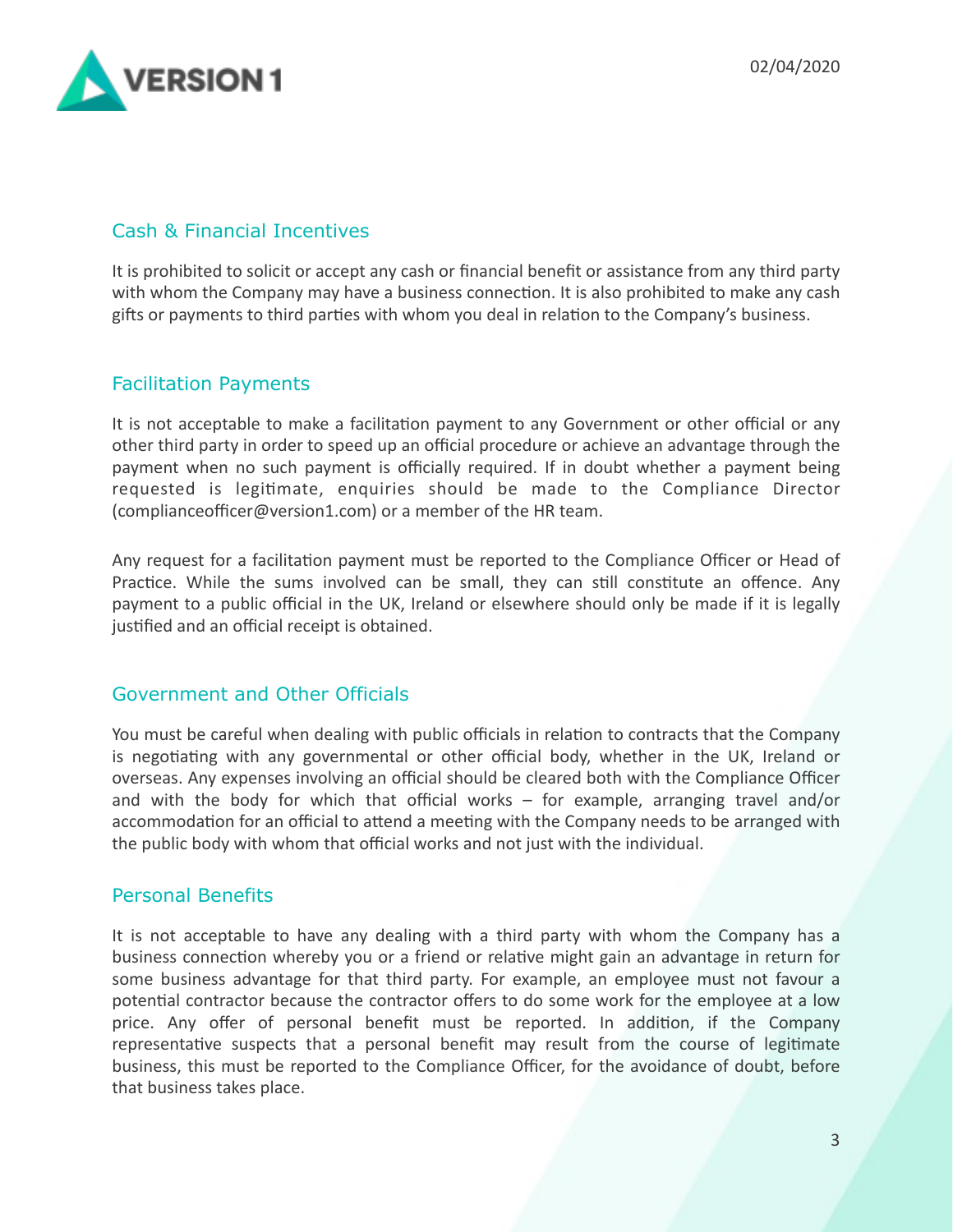

#### Cash & Financial Incentives

It is prohibited to solicit or accept any cash or financial benefit or assistance from any third party with whom the Company may have a business connection. It is also prohibited to make any cash gifts or payments to third parties with whom you deal in relation to the Company's business.

#### Facilitation Payments

It is not acceptable to make a facilitation payment to any Government or other official or any other third party in order to speed up an official procedure or achieve an advantage through the payment when no such payment is officially required. If in doubt whether a payment being requested is legitimate, enquiries should be made to the Compliance Director (complianceofficer@version1.com) or a member of the HR team.

Any request for a facilitation payment must be reported to the Compliance Officer or Head of Practice. While the sums involved can be small, they can still constitute an offence. Any payment to a public official in the UK, Ireland or elsewhere should only be made if it is legally justified and an official receipt is obtained.

#### Government and Other Officials

You must be careful when dealing with public officials in relation to contracts that the Company is negotiating with any governmental or other official body, whether in the UK, Ireland or overseas. Any expenses involving an official should be cleared both with the Compliance Officer and with the body for which that official works  $-$  for example, arranging travel and/or accommodation for an official to attend a meeting with the Company needs to be arranged with the public body with whom that official works and not just with the individual.

#### Personal Benefits

It is not acceptable to have any dealing with a third party with whom the Company has a business connection whereby you or a friend or relative might gain an advantage in return for some business advantage for that third party. For example, an employee must not favour a potential contractor because the contractor offers to do some work for the employee at a low price. Any offer of personal benefit must be reported. In addition, if the Company representative suspects that a personal benefit may result from the course of legitimate business, this must be reported to the Compliance Officer, for the avoidance of doubt, before that business takes place.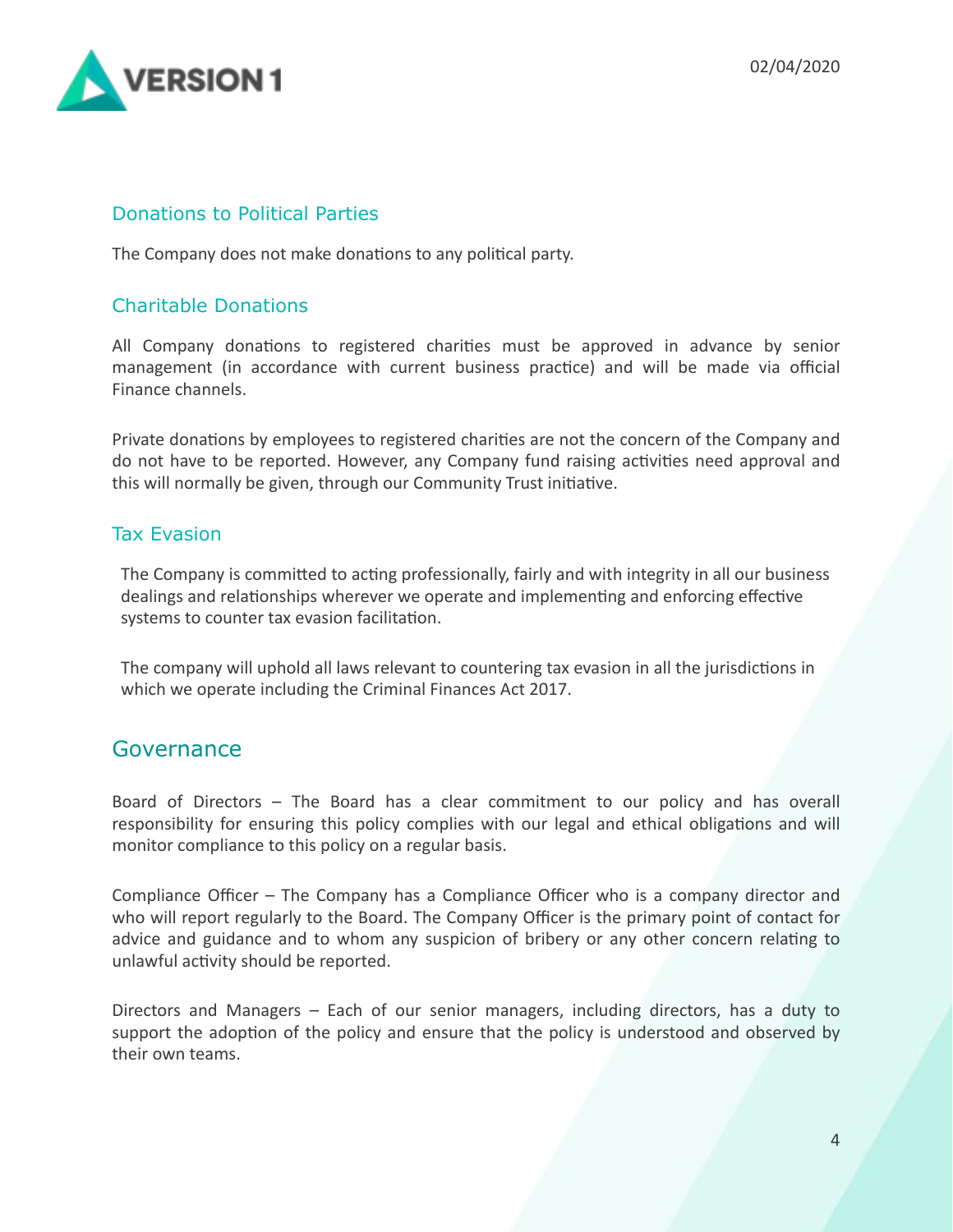

#### Donations to Political Parties

The Company does not make donations to any political party.

#### Charitable Donations

All Company donations to registered charities must be approved in advance by senior management (in accordance with current business practice) and will be made via official Finance channels.

Private donations by employees to registered charities are not the concern of the Company and do not have to be reported. However, any Company fund raising activities need approval and this will normally be given, through our Community Trust initiative.

#### Tax Evasion

The Company is committed to acting professionally, fairly and with integrity in all our business dealings and relationships wherever we operate and implementing and enforcing effective systems to counter tax evasion facilitation.

The company will uphold all laws relevant to countering tax evasion in all the jurisdictions in which we operate including the Criminal Finances Act 2017.

### Governance

Board of Directors – The Board has a clear commitment to our policy and has overall responsibility for ensuring this policy complies with our legal and ethical obligations and will monitor compliance to this policy on a regular basis.

Compliance Officer – The Company has a Compliance Officer who is a company director and who will report regularly to the Board. The Company Officer is the primary point of contact for advice and guidance and to whom any suspicion of bribery or any other concern relating to unlawful activity should be reported.

Directors and Managers  $-$  Each of our senior managers, including directors, has a duty to support the adoption of the policy and ensure that the policy is understood and observed by their own teams.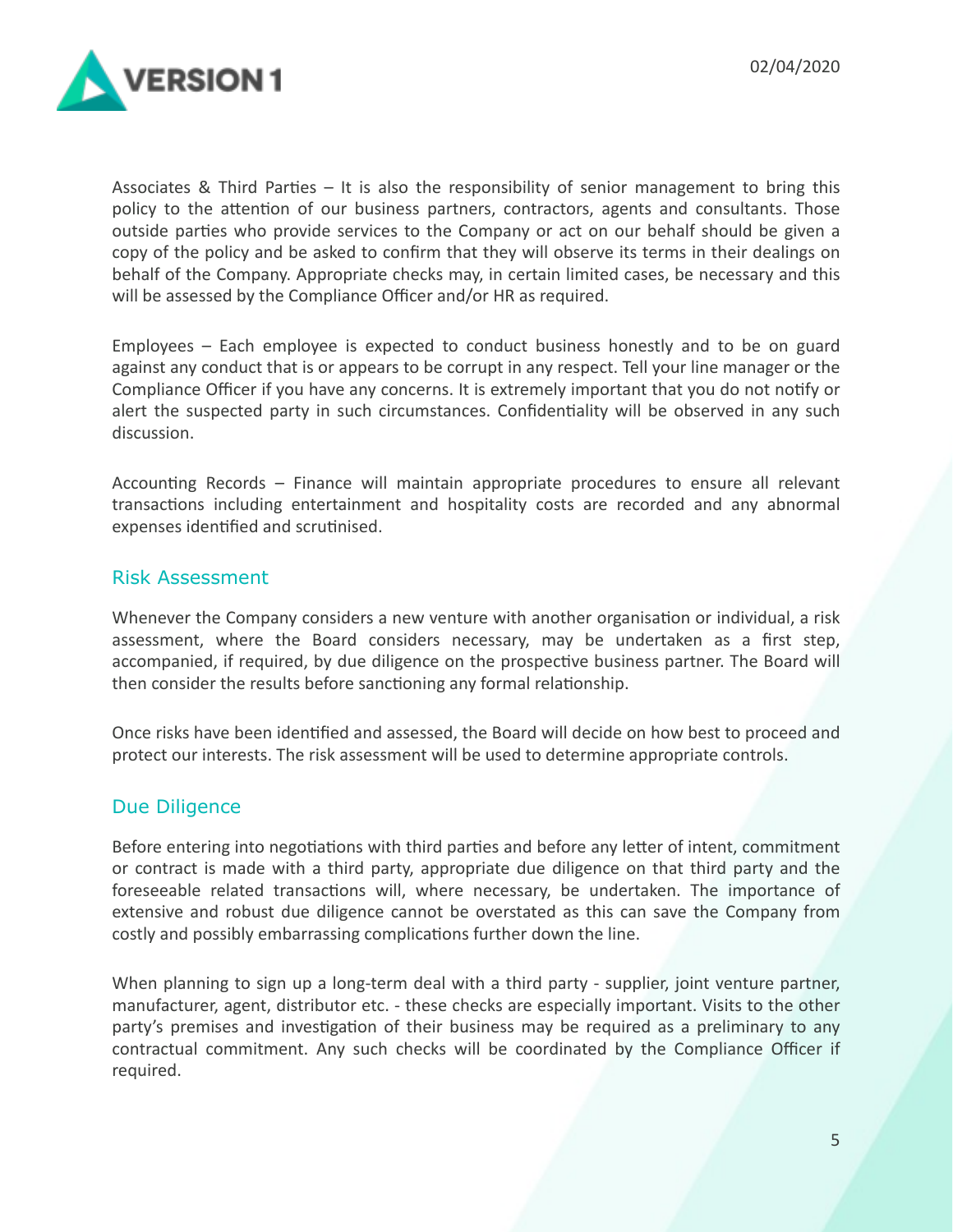

Associates & Third Parties – It is also the responsibility of senior management to bring this policy to the attention of our business partners, contractors, agents and consultants. Those outside parties who provide services to the Company or act on our behalf should be given a copy of the policy and be asked to confirm that they will observe its terms in their dealings on behalf of the Company. Appropriate checks may, in certain limited cases, be necessary and this will be assessed by the Compliance Officer and/or HR as required.

Employees  $-$  Each employee is expected to conduct business honestly and to be on guard against any conduct that is or appears to be corrupt in any respect. Tell your line manager or the Compliance Officer if you have any concerns. It is extremely important that you do not notify or alert the suspected party in such circumstances. Confidentiality will be observed in any such discussion. 

Accounting Records  $-$  Finance will maintain appropriate procedures to ensure all relevant transactions including entertainment and hospitality costs are recorded and any abnormal expenses identified and scrutinised.

#### Risk Assessment

Whenever the Company considers a new venture with another organisation or individual, a risk assessment, where the Board considers necessary, may be undertaken as a first step, accompanied, if required, by due diligence on the prospective business partner. The Board will then consider the results before sanctioning any formal relationship.

Once risks have been identified and assessed, the Board will decide on how best to proceed and protect our interests. The risk assessment will be used to determine appropriate controls.

#### Due Diligence

Before entering into negotiations with third parties and before any letter of intent, commitment or contract is made with a third party, appropriate due diligence on that third party and the foreseeable related transactions will, where necessary, be undertaken. The importance of extensive and robust due diligence cannot be overstated as this can save the Company from costly and possibly embarrassing complications further down the line.

When planning to sign up a long-term deal with a third party - supplier, joint venture partner, manufacturer, agent, distributor etc. - these checks are especially important. Visits to the other party's premises and investigation of their business may be required as a preliminary to any contractual commitment. Any such checks will be coordinated by the Compliance Officer if required.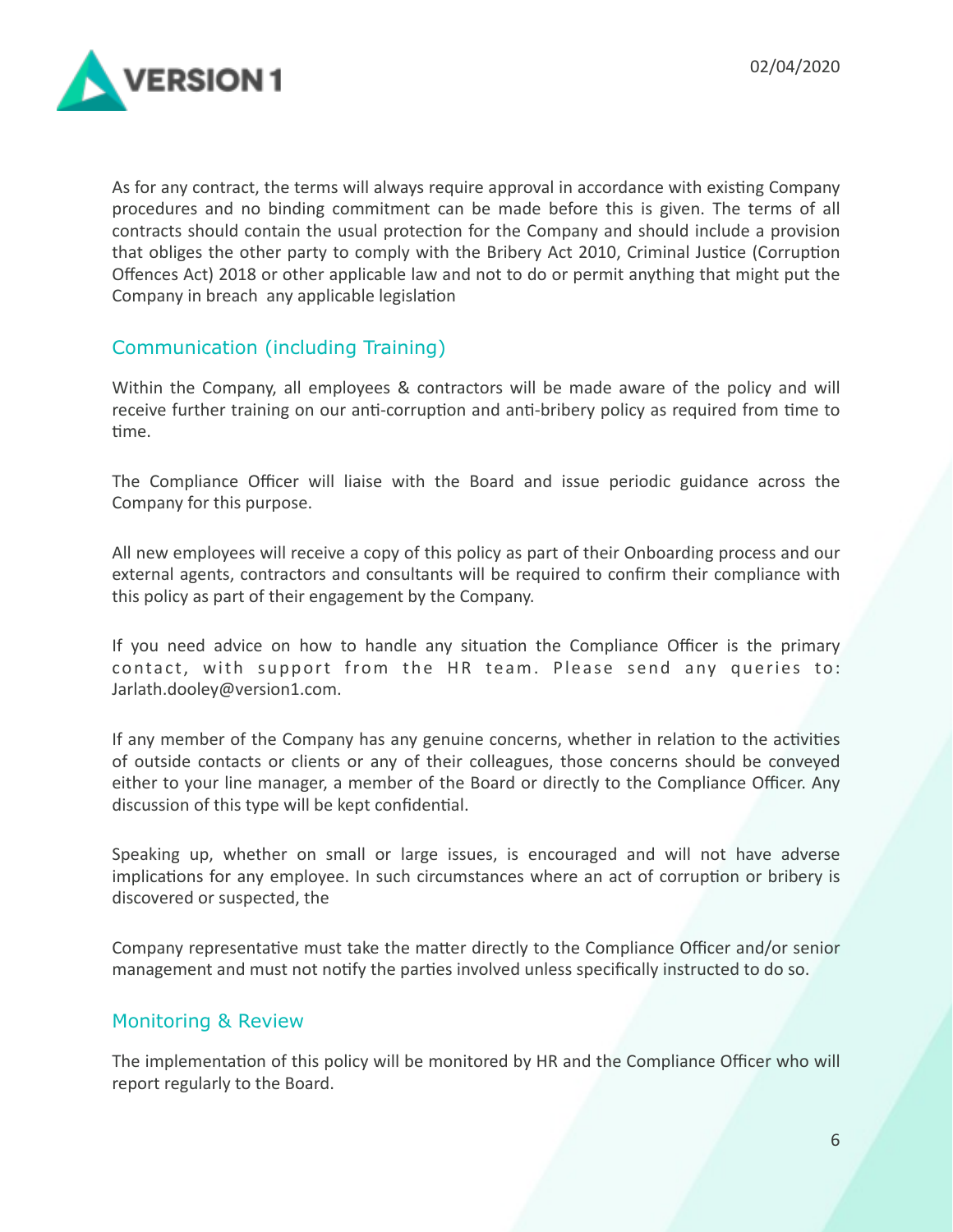

As for any contract, the terms will always require approval in accordance with existing Company procedures and no binding commitment can be made before this is given. The terms of all contracts should contain the usual protection for the Company and should include a provision that obliges the other party to comply with the Bribery Act 2010, Criminal Justice (Corruption Offences Act) 2018 or other applicable law and not to do or permit anything that might put the Company in breach any applicable legislation

#### Communication (including Training)

Within the Company, all employees & contractors will be made aware of the policy and will receive further training on our anti-corruption and anti-bribery policy as required from time to time.

The Compliance Officer will liaise with the Board and issue periodic guidance across the Company for this purpose.

All new employees will receive a copy of this policy as part of their Onboarding process and our external agents, contractors and consultants will be required to confirm their compliance with this policy as part of their engagement by the Company.

If you need advice on how to handle any situation the Compliance Officer is the primary contact, with support from the HR team. Please send any queries to: Jarlath.dooley@version1.com. 

If any member of the Company has any genuine concerns, whether in relation to the activities of outside contacts or clients or any of their colleagues, those concerns should be conveyed either to your line manager, a member of the Board or directly to the Compliance Officer. Any discussion of this type will be kept confidential.

Speaking up, whether on small or large issues, is encouraged and will not have adverse implications for any employee. In such circumstances where an act of corruption or bribery is discovered or suspected, the

Company representative must take the matter directly to the Compliance Officer and/or senior management and must not notify the parties involved unless specifically instructed to do so.

#### Monitoring & Review

The implementation of this policy will be monitored by HR and the Compliance Officer who will report regularly to the Board.